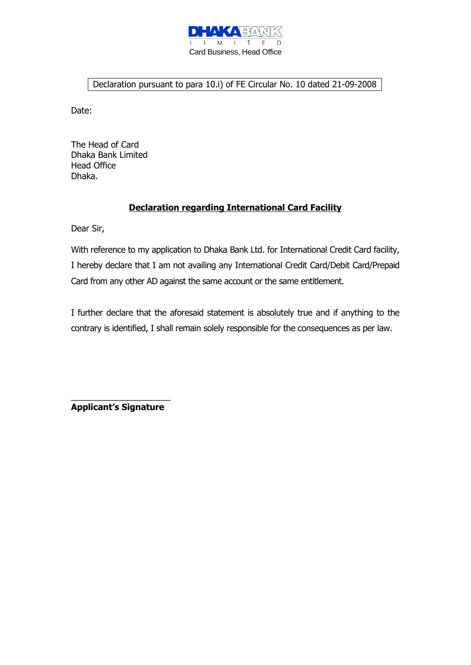

## Declaration pursuant to para 10.i) of FE Circular No. 10 dated 21-09-2008

Date:

The Head of Card Dhaka Bank Limited Head Office Dhaka.

## **Declaration regarding International Card Facility**

Dear Sir,

With reference to my application to Dhaka Bank Ltd. for International Credit Card facility, I hereby declare that I am not availing any International Credit Card/Debit Card/Prepaid Card from any other AD against the same account or the same entitlement.

I further declare that the aforesaid statement is absolutely true and if anything to the contrary is identified, I shall remain solely responsible for the consequences as per law.

\_\_\_\_\_\_\_\_\_\_\_\_\_\_\_\_\_\_\_\_\_ **Applicant's Signature**